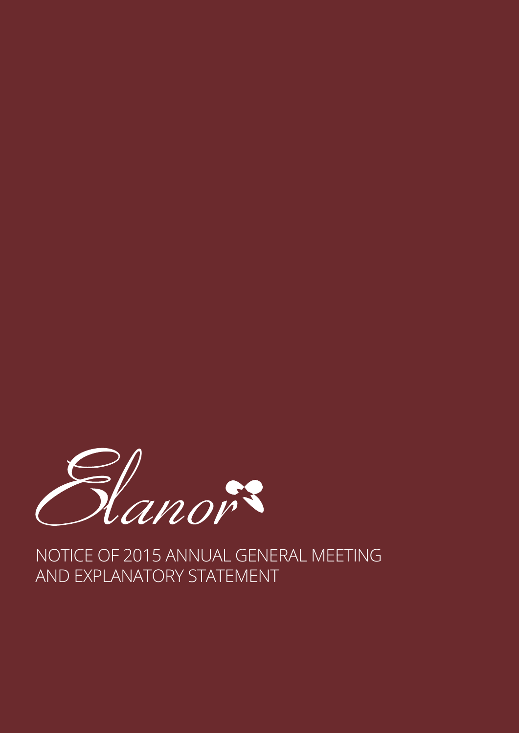

NOTICE OF 2015 ANNUAL GENERAL MEETING AND EXPLANATORY STATEMENT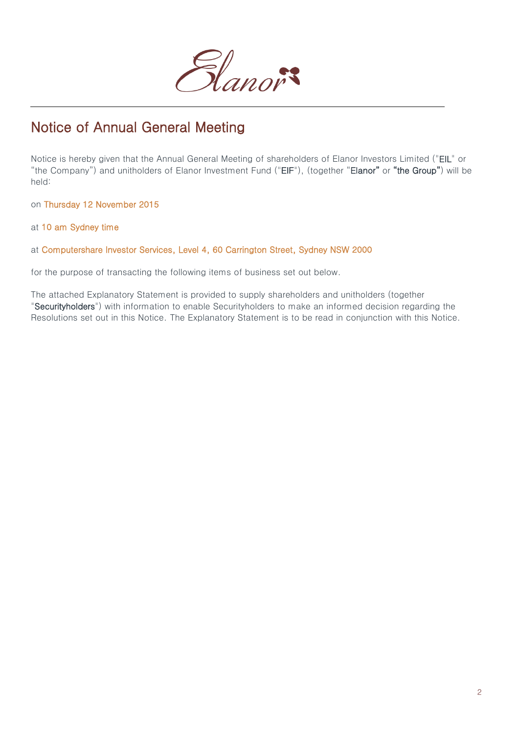

# Notice of Annual General Meeting

Notice is hereby given that the Annual General Meeting of shareholders of Elanor Investors Limited ("EIL" or "the Company") and unitholders of Elanor Investment Fund ("EIF"), (together "Elanor" or "the Group") will be held:

on Thursday 12 November 2015

at 10 am Sydney time

at Computershare Investor Services, Level 4, 60 Carrington Street, Sydney NSW 2000

for the purpose of transacting the following items of business set out below.

The attached Explanatory Statement is provided to supply shareholders and unitholders (together "Securityholders") with information to enable Securityholders to make an informed decision regarding the Resolutions set out in this Notice. The Explanatory Statement is to be read in conjunction with this Notice.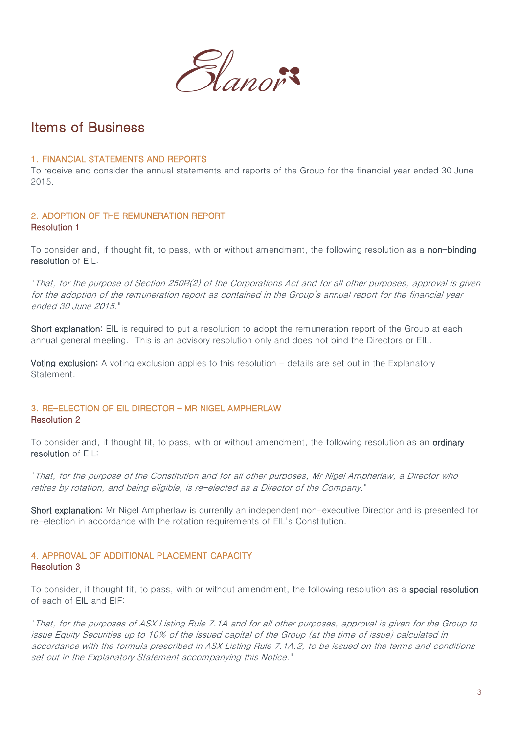

### Items of Business

#### 1. FINANCIAL STATEMENTS AND REPORTS

To receive and consider the annual statements and reports of the Group for the financial year ended 30 June 2015.

#### 2. ADOPTION OF THE REMUNERATION REPORT Resolution 1

To consider and, if thought fit, to pass, with or without amendment, the following resolution as a non-binding resolution of EIL:

"That, for the purpose of Section 250R(2) of the Corporations Act and for all other purposes, approval is given for the adoption of the remuneration report as contained in the Group's annual report for the financial year ended 30 June 2015."

Short explanation: EIL is required to put a resolution to adopt the remuneration report of the Group at each annual general meeting. This is an advisory resolution only and does not bind the Directors or EIL.

**Voting exclusion:** A voting exclusion applies to this resolution  $-\theta$  details are set out in the Explanatory Statement.

#### 3. RE-ELECTION OF EIL DIRECTOR – MR NIGEL AMPHERLAW Resolution 2

To consider and, if thought fit, to pass, with or without amendment, the following resolution as an ordinary resolution of EIL:

"That, for the purpose of the Constitution and for all other purposes, Mr Nigel Ampherlaw, a Director who retires by rotation, and being eligible, is re-elected as a Director of the Company."

Short explanation: Mr Nigel Ampherlaw is currently an independent non-executive Director and is presented for re-election in accordance with the rotation requirements of EIL's Constitution.

#### 4. APPROVAL OF ADDITIONAL PLACEMENT CAPACITY Resolution 3

To consider, if thought fit, to pass, with or without amendment, the following resolution as a special resolution of each of EIL and EIF:

"That, for the purposes of ASX Listing Rule 7.1A and for all other purposes, approval is given for the Group to issue Equity Securities up to 10% of the issued capital of the Group (at the time of issue) calculated in accordance with the formula prescribed in ASX Listing Rule 7.1A.2, to be issued on the terms and conditions set out in the Explanatory Statement accompanying this Notice."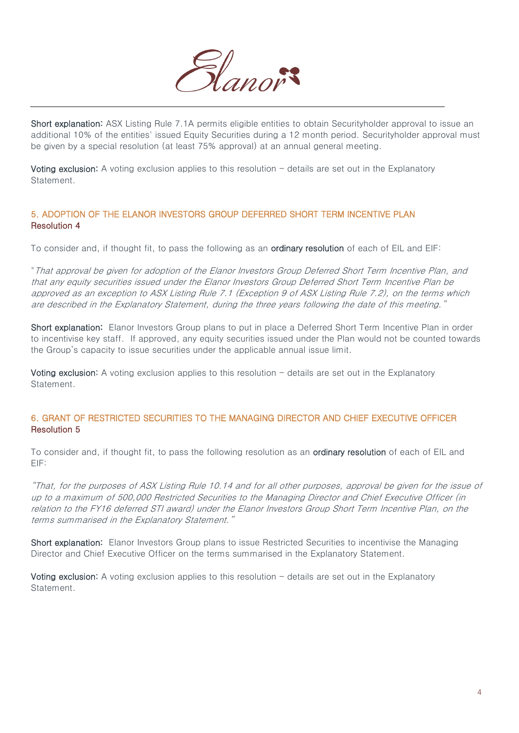

Short explanation: ASX Listing Rule 7.1A permits eligible entities to obtain Securityholder approval to issue an additional 10% of the entities' issued Equity Securities during a 12 month period. Securityholder approval must be given by a special resolution (at least 75% approval) at an annual general meeting.

Voting exclusion: A voting exclusion applies to this resolution  $-$  details are set out in the Explanatory Statement.

#### 5. ADOPTION OF THE ELANOR INVESTORS GROUP DEFERRED SHORT TERM INCENTIVE PLAN Resolution 4

To consider and, if thought fit, to pass the following as an **ordinary resolution** of each of EIL and EIF:

"That approval be given for adoption of the Elanor Investors Group Deferred Short Term Incentive Plan, and that any equity securities issued under the Elanor Investors Group Deferred Short Term Incentive Plan be approved as an exception to ASX Listing Rule 7.1 (Exception 9 of ASX Listing Rule 7.2), on the terms which are described in the Explanatory Statement, during the three years following the date of this meeting."

Short explanation: Elanor Investors Group plans to put in place a Deferred Short Term Incentive Plan in order to incentivise key staff. If approved, any equity securities issued under the Plan would not be counted towards the Group's capacity to issue securities under the applicable annual issue limit.

Voting exclusion: A voting exclusion applies to this resolution - details are set out in the Explanatory Statement.

#### 6. GRANT OF RESTRICTED SECURITIES TO THE MANAGING DIRECTOR AND CHIEF EXECUTIVE OFFICER Resolution 5

To consider and, if thought fit, to pass the following resolution as an **ordinary resolution** of each of EIL and EIF:

"That, for the purposes of ASX Listing Rule 10.14 and for all other purposes, approval be given for the issue of up to a maximum of 500,000 Restricted Securities to the Managing Director and Chief Executive Officer (in relation to the FY16 deferred STI award) under the Elanor Investors Group Short Term Incentive Plan, on the terms summarised in the Explanatory Statement."

Short explanation: Elanor Investors Group plans to issue Restricted Securities to incentivise the Managing Director and Chief Executive Officer on the terms summarised in the Explanatory Statement.

Voting exclusion: A voting exclusion applies to this resolution  $-$  details are set out in the Explanatory Statement.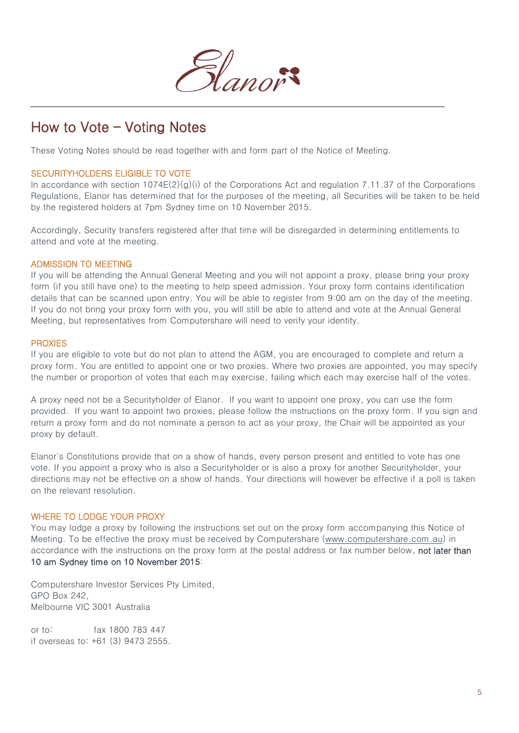

# How to Vote – Voting Notes

These Voting Notes should be read together with and form part of the Notice of Meeting.

#### SECURITYHOLDERS ELIGIBLE TO VOTE

In accordance with section 1074E(2)(g)(i) of the Corporations Act and regulation 7.11.37 of the Corporations Regulations, Elanor has determined that for the purposes of the meeting, all Securities will be taken to be held by the registered holders at 7pm Sydney time on 10 November 2015.

Accordingly, Security transfers registered after that time will be disregarded in determining entitlements to attend and vote at the meeting.

#### ADMISSION TO MEETING

If you will be attending the Annual General Meeting and you will not appoint a proxy, please bring your proxy form (if you still have one) to the meeting to help speed admission. Your proxy form contains identification details that can be scanned upon entry. You will be able to register from 9:00 am on the day of the meeting. If you do not bring your proxy form with you, you will still be able to attend and vote at the Annual General Meeting, but representatives from Computershare will need to verify your identity.

#### PROXIES

If you are eligible to vote but do not plan to attend the AGM, you are encouraged to complete and return a proxy form. You are entitled to appoint one or two proxies. Where two proxies are appointed, you may specify the number or proportion of votes that each may exercise, failing which each may exercise half of the votes.

A proxy need not be a Securityholder of Elanor. If you want to appoint one proxy, you can use the form provided. If you want to appoint two proxies, please follow the instructions on the proxy form. If you sign and return a proxy form and do not nominate a person to act as your proxy, the Chair will be appointed as your proxy by default.

Elanor's Constitutions provide that on a show of hands, every person present and entitled to vote has one vote. If you appoint a proxy who is also a Securityholder or is also a proxy for another Securityholder, your directions may not be effective on a show of hands. Your directions will however be effective if a poll is taken on the relevant resolution.

#### WHERE TO LODGE YOUR PROXY

You may lodge a proxy by following the instructions set out on the proxy form accompanying this Notice of Meeting. To be effective the proxy must be received by Computershare [\(www.computershare.com.au\)](http://www.computershare.com.au/) in accordance with the instructions on the proxy form at the postal address or fax number below, not later than 10 am Sydney time on 10 November 2015:

Computershare Investor Services Pty Limited, GPO Box 242, Melbourne VIC 3001 Australia

or to: fax 1800 783 447 if overseas to: +61 (3) 9473 2555.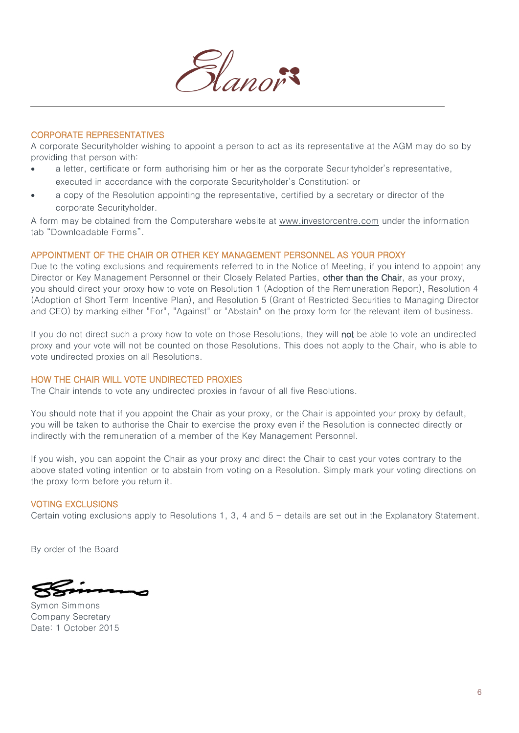

#### CORPORATE REPRESENTATIVES

A corporate Securityholder wishing to appoint a person to act as its representative at the AGM may do so by providing that person with:

- a letter, certificate or form authorising him or her as the corporate Securityholder's representative, executed in accordance with the corporate Securityholder's Constitution; or
- a copy of the Resolution appointing the representative, certified by a secretary or director of the corporate Securityholder.

A form may be obtained from the Computershare website at [www.investorcentre.com](http://www.investorcentre.com/) under the information tab "Downloadable Forms".

#### APPOINTMENT OF THE CHAIR OR OTHER KEY MANAGEMENT PERSONNEL AS YOUR PROXY

Due to the voting exclusions and requirements referred to in the Notice of Meeting, if you intend to appoint any Director or Key Management Personnel or their Closely Related Parties, other than the Chair, as your proxy, you should direct your proxy how to vote on Resolution 1 (Adoption of the Remuneration Report), Resolution 4 (Adoption of Short Term Incentive Plan), and Resolution 5 (Grant of Restricted Securities to Managing Director and CEO) by marking either "For", "Against" or "Abstain" on the proxy form for the relevant item of business.

If you do not direct such a proxy how to vote on those Resolutions, they will **not** be able to vote an undirected proxy and your vote will not be counted on those Resolutions. This does not apply to the Chair, who is able to vote undirected proxies on all Resolutions.

#### HOW THE CHAIR WILL VOTE UNDIRECTED PROXIES

The Chair intends to vote any undirected proxies in favour of all five Resolutions.

You should note that if you appoint the Chair as your proxy, or the Chair is appointed your proxy by default, you will be taken to authorise the Chair to exercise the proxy even if the Resolution is connected directly or indirectly with the remuneration of a member of the Key Management Personnel.

If you wish, you can appoint the Chair as your proxy and direct the Chair to cast your votes contrary to the above stated voting intention or to abstain from voting on a Resolution. Simply mark your voting directions on the proxy form before you return it.

#### VOTING EXCLUSIONS

Certain voting exclusions apply to Resolutions 1, 3, 4 and  $5 -$  details are set out in the Explanatory Statement.

By order of the Board

Symon Simmons Company Secretary Date: 1 October 2015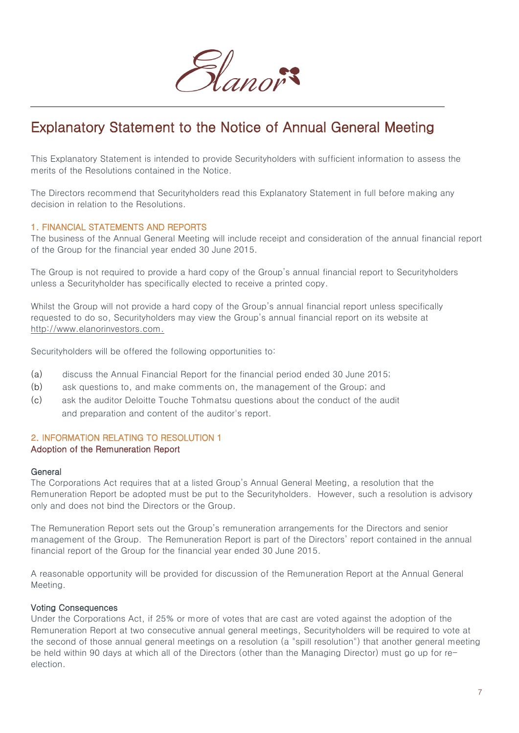

# Explanatory Statement to the Notice of Annual General Meeting

This Explanatory Statement is intended to provide Securityholders with sufficient information to assess the merits of the Resolutions contained in the Notice.

The Directors recommend that Securityholders read this Explanatory Statement in full before making any decision in relation to the Resolutions.

#### 1. FINANCIAL STATEMENTS AND REPORTS

The business of the Annual General Meeting will include receipt and consideration of the annual financial report of the Group for the financial year ended 30 June 2015.

The Group is not required to provide a hard copy of the Group's annual financial report to Securityholders unless a Securityholder has specifically elected to receive a printed copy.

Whilst the Group will not provide a hard copy of the Group's annual financial report unless specifically requested to do so, Securityholders may view the Group's annual financial report on its website at [http://www.elanorinvestors.com.](http://www.elanorinvestors.com/)

Securityholders will be offered the following opportunities to:

- (a) discuss the Annual Financial Report for the financial period ended 30 June 2015;
- (b) ask questions to, and make comments on, the management of the Group; and
- (c) ask the auditor Deloitte Touche Tohmatsu questions about the conduct of the audit and preparation and content of the auditor's report.

### 2. INFORMATION RELATING TO RESOLUTION 1

#### Adoption of the Remuneration Report

#### **General**

The Corporations Act requires that at a listed Group's Annual General Meeting, a resolution that the Remuneration Report be adopted must be put to the Securityholders. However, such a resolution is advisory only and does not bind the Directors or the Group.

The Remuneration Report sets out the Group's remuneration arrangements for the Directors and senior management of the Group. The Remuneration Report is part of the Directors' report contained in the annual financial report of the Group for the financial year ended 30 June 2015.

A reasonable opportunity will be provided for discussion of the Remuneration Report at the Annual General Meeting.

#### Voting Consequences

Under the Corporations Act, if 25% or more of votes that are cast are voted against the adoption of the Remuneration Report at two consecutive annual general meetings, Securityholders will be required to vote at the second of those annual general meetings on a resolution (a "spill resolution") that another general meeting be held within 90 days at which all of the Directors (other than the Managing Director) must go up for reelection.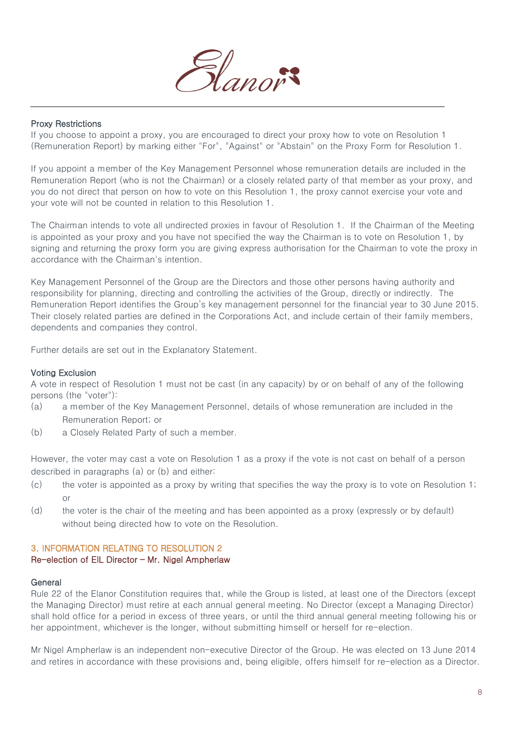

#### Proxy Restrictions

If you choose to appoint a proxy, you are encouraged to direct your proxy how to vote on Resolution 1 (Remuneration Report) by marking either "For", "Against" or "Abstain" on the Proxy Form for Resolution 1.

If you appoint a member of the Key Management Personnel whose remuneration details are included in the Remuneration Report (who is not the Chairman) or a closely related party of that member as your proxy, and you do not direct that person on how to vote on this Resolution 1, the proxy cannot exercise your vote and your vote will not be counted in relation to this Resolution 1.

The Chairman intends to vote all undirected proxies in favour of Resolution 1. If the Chairman of the Meeting is appointed as your proxy and you have not specified the way the Chairman is to vote on Resolution 1, by signing and returning the proxy form you are giving express authorisation for the Chairman to vote the proxy in accordance with the Chairman's intention.

Key Management Personnel of the Group are the Directors and those other persons having authority and responsibility for planning, directing and controlling the activities of the Group, directly or indirectly. The Remuneration Report identifies the Group's key management personnel for the financial year to 30 June 2015. Their closely related parties are defined in the Corporations Act, and include certain of their family members, dependents and companies they control.

Further details are set out in the Explanatory Statement.

#### Voting Exclusion

A vote in respect of Resolution 1 must not be cast (in any capacity) by or on behalf of any of the following persons (the "voter"):

- (a) a member of the Key Management Personnel, details of whose remuneration are included in the Remuneration Report; or
- (b) a Closely Related Party of such a member.

However, the voter may cast a vote on Resolution 1 as a proxy if the vote is not cast on behalf of a person described in paragraphs (a) or (b) and either:

- (c) the voter is appointed as a proxy by writing that specifies the way the proxy is to vote on Resolution 1; or
- (d) the voter is the chair of the meeting and has been appointed as a proxy (expressly or by default) without being directed how to vote on the Resolution.

#### 3. INFORMATION RELATING TO RESOLUTION 2 Re-election of EIL Director – Mr. Nigel Ampherlaw

#### General

Rule 22 of the Elanor Constitution requires that, while the Group is listed, at least one of the Directors (except the Managing Director) must retire at each annual general meeting. No Director (except a Managing Director) shall hold office for a period in excess of three years, or until the third annual general meeting following his or her appointment, whichever is the longer, without submitting himself or herself for re-election.

Mr Nigel Ampherlaw is an independent non-executive Director of the Group. He was elected on 13 June 2014 and retires in accordance with these provisions and, being eligible, offers himself for re-election as a Director.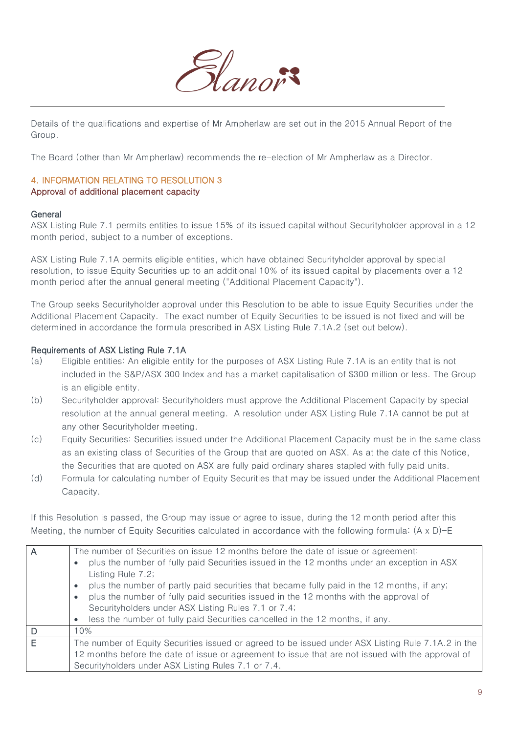

Details of the qualifications and expertise of Mr Ampherlaw are set out in the 2015 Annual Report of the Group.

The Board (other than Mr Ampherlaw) recommends the re-election of Mr Ampherlaw as a Director.

#### 4. INFORMATION RELATING TO RESOLUTION 3 Approval of additional placement capacity

#### **General**

ASX Listing Rule 7.1 permits entities to issue 15% of its issued capital without Securityholder approval in a 12 month period, subject to a number of exceptions.

ASX Listing Rule 7.1A permits eligible entities, which have obtained Securityholder approval by special resolution, to issue Equity Securities up to an additional 10% of its issued capital by placements over a 12 month period after the annual general meeting ("Additional Placement Capacity").

The Group seeks Securityholder approval under this Resolution to be able to issue Equity Securities under the Additional Placement Capacity. The exact number of Equity Securities to be issued is not fixed and will be determined in accordance the formula prescribed in ASX Listing Rule 7.1A.2 (set out below).

#### Requirements of ASX Listing Rule 7.1A

- (a) Eligible entities: An eligible entity for the purposes of ASX Listing Rule 7.1A is an entity that is not included in the S&P/ASX 300 Index and has a market capitalisation of \$300 million or less. The Group is an eligible entity.
- (b) Securityholder approval: Securityholders must approve the Additional Placement Capacity by special resolution at the annual general meeting. A resolution under ASX Listing Rule 7.1A cannot be put at any other Securityholder meeting.
- (c) Equity Securities: Securities issued under the Additional Placement Capacity must be in the same class as an existing class of Securities of the Group that are quoted on ASX. As at the date of this Notice, the Securities that are quoted on ASX are fully paid ordinary shares stapled with fully paid units.
- (d) Formula for calculating number of Equity Securities that may be issued under the Additional Placement Capacity.

If this Resolution is passed, the Group may issue or agree to issue, during the 12 month period after this Meeting, the number of Equity Securities calculated in accordance with the following formula: (A x D)-E

| $\overline{A}$ | The number of Securities on issue 12 months before the date of issue or agreement:                              |  |
|----------------|-----------------------------------------------------------------------------------------------------------------|--|
|                | plus the number of fully paid Securities issued in the 12 months under an exception in ASX<br>Listing Rule 7.2; |  |
|                | plus the number of partly paid securities that became fully paid in the 12 months, if any;<br>$\bullet$         |  |
|                | plus the number of fully paid securities issued in the 12 months with the approval of                           |  |
|                | Securityholders under ASX Listing Rules 7.1 or 7.4;                                                             |  |
|                | less the number of fully paid Securities cancelled in the 12 months, if any.<br>$\bullet$                       |  |
| D              | 10%                                                                                                             |  |
| E              | The number of Equity Securities issued or agreed to be issued under ASX Listing Rule 7.1A.2 in the              |  |
|                | 12 months before the date of issue or agreement to issue that are not issued with the approval of               |  |
|                | Securityholders under ASX Listing Rules 7.1 or 7.4.                                                             |  |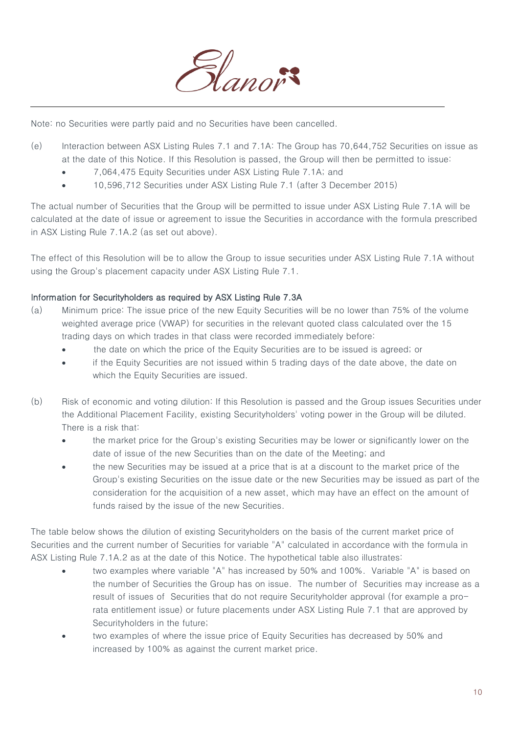

Note: no Securities were partly paid and no Securities have been cancelled.

- (e) Interaction between ASX Listing Rules 7.1 and 7.1A: The Group has 70,644,752 Securities on issue as at the date of this Notice. If this Resolution is passed, the Group will then be permitted to issue:
	- 7,064,475 Equity Securities under ASX Listing Rule 7.1A; and
	- 10,596,712 Securities under ASX Listing Rule 7.1 (after 3 December 2015)

The actual number of Securities that the Group will be permitted to issue under ASX Listing Rule 7.1A will be calculated at the date of issue or agreement to issue the Securities in accordance with the formula prescribed in ASX Listing Rule 7.1A.2 (as set out above).

The effect of this Resolution will be to allow the Group to issue securities under ASX Listing Rule 7.1A without using the Group's placement capacity under ASX Listing Rule 7.1.

#### Information for Securityholders as required by ASX Listing Rule 7.3A

- (a) Minimum price: The issue price of the new Equity Securities will be no lower than 75% of the volume weighted average price (VWAP) for securities in the relevant quoted class calculated over the 15 trading days on which trades in that class were recorded immediately before:
	- the date on which the price of the Equity Securities are to be issued is agreed; or
	- if the Equity Securities are not issued within 5 trading days of the date above, the date on which the Equity Securities are issued.
- (b) Risk of economic and voting dilution: If this Resolution is passed and the Group issues Securities under the Additional Placement Facility, existing Securityholders' voting power in the Group will be diluted. There is a risk that:
	- the market price for the Group's existing Securities may be lower or significantly lower on the date of issue of the new Securities than on the date of the Meeting; and
	- the new Securities may be issued at a price that is at a discount to the market price of the Group's existing Securities on the issue date or the new Securities may be issued as part of the consideration for the acquisition of a new asset, which may have an effect on the amount of funds raised by the issue of the new Securities.

The table below shows the dilution of existing Securityholders on the basis of the current market price of Securities and the current number of Securities for variable "A" calculated in accordance with the formula in ASX Listing Rule 7.1A.2 as at the date of this Notice. The hypothetical table also illustrates:

- two examples where variable "A" has increased by 50% and 100%. Variable "A" is based on the number of Securities the Group has on issue. The number of Securities may increase as a result of issues of Securities that do not require Securityholder approval (for example a prorata entitlement issue) or future placements under ASX Listing Rule 7.1 that are approved by Securityholders in the future;
- two examples of where the issue price of Equity Securities has decreased by 50% and increased by 100% as against the current market price.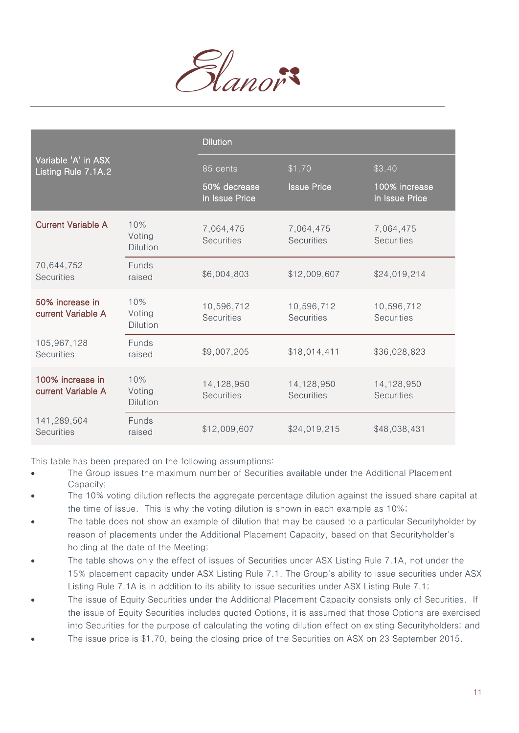

|                                            |                                  | <b>Dilution</b>                 |                                 |                                 |
|--------------------------------------------|----------------------------------|---------------------------------|---------------------------------|---------------------------------|
| Variable 'A' in ASX<br>Listing Rule 7.1A.2 |                                  | 85 cents                        | \$1.70                          | \$3.40                          |
|                                            |                                  | 50% decrease<br>in Issue Price  | <b>Issue Price</b>              | 100% increase<br>in Issue Price |
| <b>Current Variable A</b>                  | 10%<br>Voting<br><b>Dilution</b> | 7,064,475<br><b>Securities</b>  | 7,064,475<br><b>Securities</b>  | 7,064,475<br><b>Securities</b>  |
| 70,644,752<br><b>Securities</b>            | Funds<br>raised                  | \$6,004,803                     | \$12,009,607                    | \$24,019,214                    |
| 50% increase in<br>current Variable A      | 10%<br>Voting<br><b>Dilution</b> | 10,596,712<br><b>Securities</b> | 10,596,712<br><b>Securities</b> | 10,596,712<br><b>Securities</b> |
| 105,967,128<br><b>Securities</b>           | Funds<br>raised                  | \$9,007,205                     | \$18,014,411                    | \$36,028,823                    |
| 100% increase in<br>current Variable A     | 10%<br>Voting<br><b>Dilution</b> | 14,128,950<br><b>Securities</b> | 14,128,950<br><b>Securities</b> | 14,128,950<br><b>Securities</b> |
| 141,289,504<br><b>Securities</b>           | Funds<br>raised                  | \$12,009,607                    | \$24,019,215                    | \$48,038,431                    |

This table has been prepared on the following assumptions:

- The Group issues the maximum number of Securities available under the Additional Placement Capacity;
- The 10% voting dilution reflects the aggregate percentage dilution against the issued share capital at the time of issue. This is why the voting dilution is shown in each example as 10%;
- The table does not show an example of dilution that may be caused to a particular Securityholder by reason of placements under the Additional Placement Capacity, based on that Securityholder's holding at the date of the Meeting;
- The table shows only the effect of issues of Securities under ASX Listing Rule 7.1A, not under the 15% placement capacity under ASX Listing Rule 7.1. The Group's ability to issue securities under ASX Listing Rule 7.1A is in addition to its ability to issue securities under ASX Listing Rule 7.1;
- The issue of Equity Securities under the Additional Placement Capacity consists only of Securities. If the issue of Equity Securities includes quoted Options, it is assumed that those Options are exercised into Securities for the purpose of calculating the voting dilution effect on existing Securityholders; and
- The issue price is \$1.70, being the closing price of the Securities on ASX on 23 September 2015.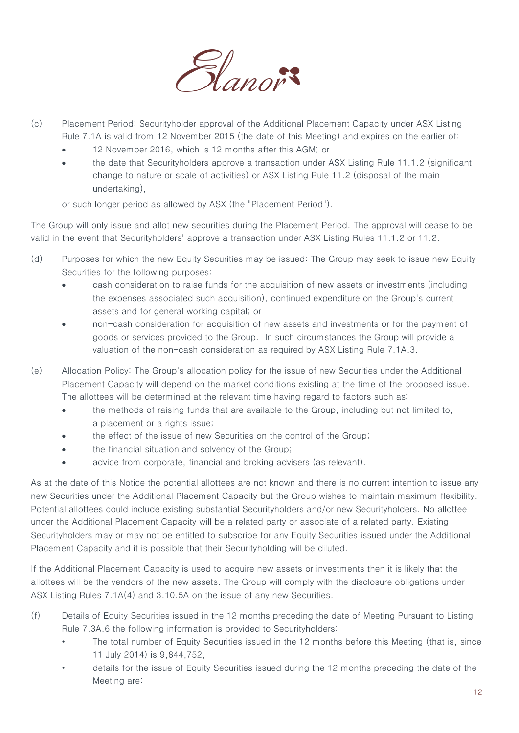

- (c) Placement Period: Securityholder approval of the Additional Placement Capacity under ASX Listing Rule 7.1A is valid from 12 November 2015 (the date of this Meeting) and expires on the earlier of:
	- 12 November 2016, which is 12 months after this AGM; or
	- the date that Securityholders approve a transaction under ASX Listing Rule 11.1.2 (significant change to nature or scale of activities) or ASX Listing Rule 11.2 (disposal of the main undertaking),

or such longer period as allowed by ASX (the "Placement Period").

The Group will only issue and allot new securities during the Placement Period. The approval will cease to be valid in the event that Securityholders' approve a transaction under ASX Listing Rules 11.1.2 or 11.2.

- (d) Purposes for which the new Equity Securities may be issued: The Group may seek to issue new Equity Securities for the following purposes:
	- cash consideration to raise funds for the acquisition of new assets or investments (including the expenses associated such acquisition), continued expenditure on the Group's current assets and for general working capital; or
	- non-cash consideration for acquisition of new assets and investments or for the payment of goods or services provided to the Group. In such circumstances the Group will provide a valuation of the non-cash consideration as required by ASX Listing Rule 7.1A.3.
- (e) Allocation Policy: The Group's allocation policy for the issue of new Securities under the Additional Placement Capacity will depend on the market conditions existing at the time of the proposed issue. The allottees will be determined at the relevant time having regard to factors such as:
	- the methods of raising funds that are available to the Group, including but not limited to, a placement or a rights issue;
	- the effect of the issue of new Securities on the control of the Group;
	- the financial situation and solvency of the Group;
	- advice from corporate, financial and broking advisers (as relevant).

As at the date of this Notice the potential allottees are not known and there is no current intention to issue any new Securities under the Additional Placement Capacity but the Group wishes to maintain maximum flexibility. Potential allottees could include existing substantial Securityholders and/or new Securityholders. No allottee under the Additional Placement Capacity will be a related party or associate of a related party. Existing Securityholders may or may not be entitled to subscribe for any Equity Securities issued under the Additional Placement Capacity and it is possible that their Securityholding will be diluted.

If the Additional Placement Capacity is used to acquire new assets or investments then it is likely that the allottees will be the vendors of the new assets. The Group will comply with the disclosure obligations under ASX Listing Rules 7.1A(4) and 3.10.5A on the issue of any new Securities.

- (f) Details of Equity Securities issued in the 12 months preceding the date of Meeting Pursuant to Listing Rule 7.3A.6 the following information is provided to Securityholders:
	- The total number of Equity Securities issued in the 12 months before this Meeting (that is, since 11 July 2014) is 9,844,752,
	- details for the issue of Equity Securities issued during the 12 months preceding the date of the Meeting are: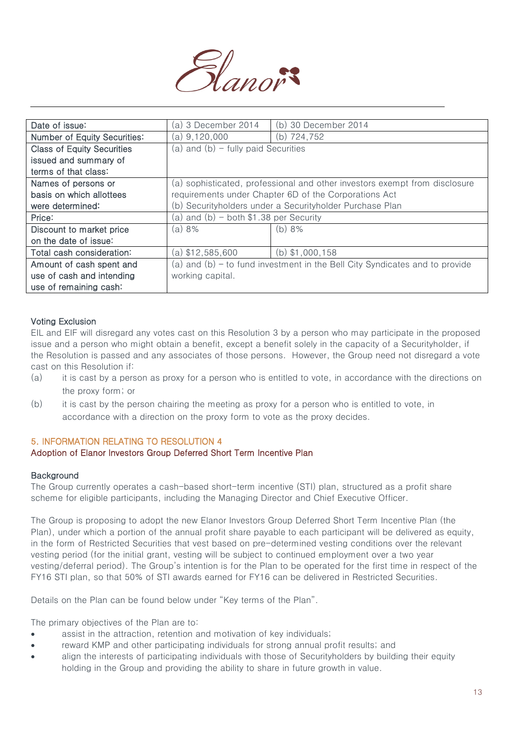

| Date of issue:                      | (a) 3 December 2014                     | (b) 30 December 2014                                                        |
|-------------------------------------|-----------------------------------------|-----------------------------------------------------------------------------|
| <b>Number of Equity Securities:</b> | (a) 9,120,000                           | (b) 724,752                                                                 |
| <b>Class of Equity Securities</b>   | (a) and $(b)$ - fully paid Securities   |                                                                             |
| issued and summary of               |                                         |                                                                             |
| terms of that class:                |                                         |                                                                             |
| Names of persons or                 |                                         | (a) sophisticated, professional and other investors exempt from disclosure  |
| basis on which allottees            |                                         | requirements under Chapter 6D of the Corporations Act                       |
| were determined:                    |                                         | (b) Securityholders under a Securityholder Purchase Plan                    |
| Price:                              | (a) and (b) – both $$1.38$ per Security |                                                                             |
| Discount to market price            | (a) 8%                                  | (b) 8%                                                                      |
| on the date of issue:               |                                         |                                                                             |
| Total cash consideration:           | (a) \$12,585,600                        | (b) $$1,000,158$                                                            |
| Amount of cash spent and            |                                         | (a) and (b) – to fund investment in the Bell City Syndicates and to provide |
| use of cash and intending           | working capital.                        |                                                                             |
| use of remaining cash:              |                                         |                                                                             |

#### Voting Exclusion

EIL and EIF will disregard any votes cast on this Resolution 3 by a person who may participate in the proposed issue and a person who might obtain a benefit, except a benefit solely in the capacity of a Securityholder, if the Resolution is passed and any associates of those persons. However, the Group need not disregard a vote cast on this Resolution if:

- (a) it is cast by a person as proxy for a person who is entitled to vote, in accordance with the directions on the proxy form; or
- (b) it is cast by the person chairing the meeting as proxy for a person who is entitled to vote, in accordance with a direction on the proxy form to vote as the proxy decides.

#### 5. INFORMATION RELATING TO RESOLUTION 4

#### Adoption of Elanor Investors Group Deferred Short Term Incentive Plan

#### **Background**

The Group currently operates a cash-based short-term incentive (STI) plan, structured as a profit share scheme for eligible participants, including the Managing Director and Chief Executive Officer.

The Group is proposing to adopt the new Elanor Investors Group Deferred Short Term Incentive Plan (the Plan), under which a portion of the annual profit share payable to each participant will be delivered as equity, in the form of Restricted Securities that vest based on pre-determined vesting conditions over the relevant vesting period (for the initial grant, vesting will be subject to continued employment over a two year vesting/deferral period). The Group's intention is for the Plan to be operated for the first time in respect of the FY16 STI plan, so that 50% of STI awards earned for FY16 can be delivered in Restricted Securities.

Details on the Plan can be found below under "Key terms of the Plan".

The primary objectives of the Plan are to:

- assist in the attraction, retention and motivation of key individuals;
- reward KMP and other participating individuals for strong annual profit results; and
- align the interests of participating individuals with those of Securityholders by building their equity holding in the Group and providing the ability to share in future growth in value.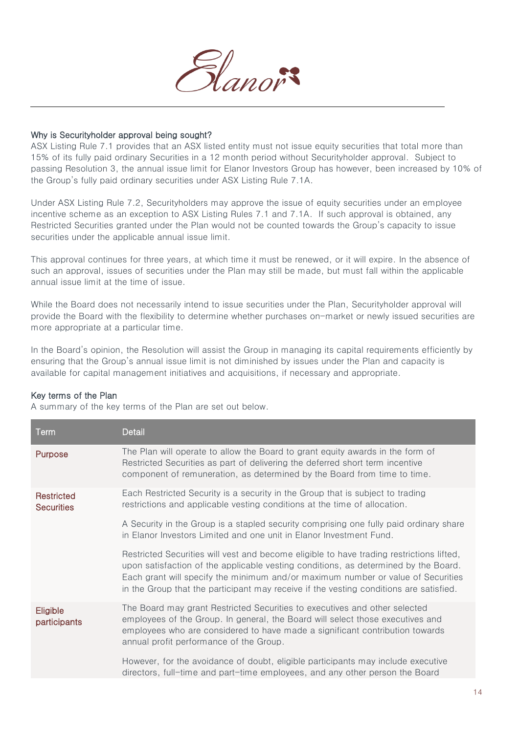

#### Why is Securityholder approval being sought?

ASX Listing Rule 7.1 provides that an ASX listed entity must not issue equity securities that total more than 15% of its fully paid ordinary Securities in a 12 month period without Securityholder approval. Subject to passing Resolution 3, the annual issue limit for Elanor Investors Group has however, been increased by 10% of the Group's fully paid ordinary securities under ASX Listing Rule 7.1A.

Under ASX Listing Rule 7.2, Securityholders may approve the issue of equity securities under an employee incentive scheme as an exception to ASX Listing Rules 7.1 and 7.1A. If such approval is obtained, any Restricted Securities granted under the Plan would not be counted towards the Group's capacity to issue securities under the applicable annual issue limit.

This approval continues for three years, at which time it must be renewed, or it will expire. In the absence of such an approval, issues of securities under the Plan may still be made, but must fall within the applicable annual issue limit at the time of issue.

While the Board does not necessarily intend to issue securities under the Plan, Securityholder approval will provide the Board with the flexibility to determine whether purchases on-market or newly issued securities are more appropriate at a particular time.

In the Board's opinion, the Resolution will assist the Group in managing its capital requirements efficiently by ensuring that the Group's annual issue limit is not diminished by issues under the Plan and capacity is available for capital management initiatives and acquisitions, if necessary and appropriate.

#### Key terms of the Plan

A summary of the key terms of the Plan are set out below.

| Term                            | Detail                                                                                                                                                                                                                                                                                                                                                        |
|---------------------------------|---------------------------------------------------------------------------------------------------------------------------------------------------------------------------------------------------------------------------------------------------------------------------------------------------------------------------------------------------------------|
| <b>Purpose</b>                  | The Plan will operate to allow the Board to grant equity awards in the form of<br>Restricted Securities as part of delivering the deferred short term incentive<br>component of remuneration, as determined by the Board from time to time.                                                                                                                   |
| Restricted<br><b>Securities</b> | Each Restricted Security is a security in the Group that is subject to trading<br>restrictions and applicable vesting conditions at the time of allocation.                                                                                                                                                                                                   |
|                                 | A Security in the Group is a stapled security comprising one fully paid ordinary share<br>in Elanor Investors Limited and one unit in Elanor Investment Fund.                                                                                                                                                                                                 |
|                                 | Restricted Securities will vest and become eligible to have trading restrictions lifted,<br>upon satisfaction of the applicable vesting conditions, as determined by the Board.<br>Each grant will specify the minimum and/or maximum number or value of Securities<br>in the Group that the participant may receive if the vesting conditions are satisfied. |
| Eligible<br>participants        | The Board may grant Restricted Securities to executives and other selected<br>employees of the Group. In general, the Board will select those executives and<br>employees who are considered to have made a significant contribution towards<br>annual profit performance of the Group.                                                                       |
|                                 | However, for the avoidance of doubt, eligible participants may include executive<br>directors, full-time and part-time employees, and any other person the Board                                                                                                                                                                                              |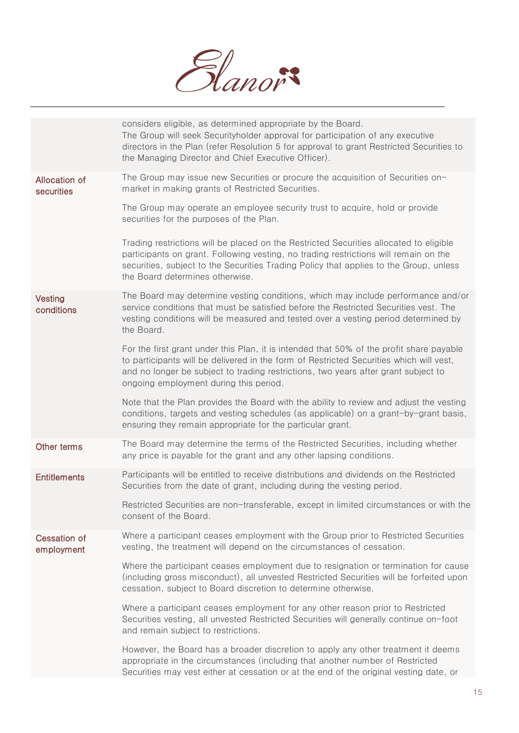

|                             | considers eligible, as determined appropriate by the Board.<br>The Group will seek Securityholder approval for participation of any executive<br>directors in the Plan (refer Resolution 5 for approval to grant Restricted Securities to<br>the Managing Director and Chief Executive Officer).                    |
|-----------------------------|---------------------------------------------------------------------------------------------------------------------------------------------------------------------------------------------------------------------------------------------------------------------------------------------------------------------|
| Allocation of<br>securities | The Group may issue new Securities or procure the acquisition of Securities on-<br>market in making grants of Restricted Securities.                                                                                                                                                                                |
|                             | The Group may operate an employee security trust to acquire, hold or provide<br>securities for the purposes of the Plan.                                                                                                                                                                                            |
|                             | Trading restrictions will be placed on the Restricted Securities allocated to eligible<br>participants on grant. Following vesting, no trading restrictions will remain on the<br>securities, subject to the Securities Trading Policy that applies to the Group, unless<br>the Board determines otherwise.         |
| Vesting<br>conditions       | The Board may determine vesting conditions, which may include performance and/or<br>service conditions that must be satisfied before the Restricted Securities vest. The<br>vesting conditions will be measured and tested over a vesting period determined by<br>the Board.                                        |
|                             | For the first grant under this Plan, it is intended that 50% of the profit share payable<br>to participants will be delivered in the form of Restricted Securities which will vest,<br>and no longer be subject to trading restrictions, two years after grant subject to<br>ongoing employment during this period. |
|                             | Note that the Plan provides the Board with the ability to review and adjust the vesting<br>conditions, targets and vesting schedules (as applicable) on a grant-by-grant basis,<br>ensuring they remain appropriate for the particular grant.                                                                       |
| Other terms                 | The Board may determine the terms of the Restricted Securities, including whether<br>any price is payable for the grant and any other lapsing conditions.                                                                                                                                                           |
| <b>Entitlements</b>         | Participants will be entitled to receive distributions and dividends on the Restricted<br>Securities from the date of grant, including during the vesting period.                                                                                                                                                   |
|                             | Restricted Securities are non-transferable, except in limited circumstances or with the<br>consent of the Board.                                                                                                                                                                                                    |
| Cessation of<br>employment  | Where a participant ceases employment with the Group prior to Restricted Securities<br>vesting, the treatment will depend on the circumstances of cessation.                                                                                                                                                        |
|                             | Where the participant ceases employment due to resignation or termination for cause<br>(including gross misconduct), all unvested Restricted Securities will be forfeited upon<br>cessation, subject to Board discretion to determine otherwise.                                                                    |
|                             | Where a participant ceases employment for any other reason prior to Restricted<br>Securities vesting, all unvested Restricted Securities will generally continue on-foot<br>and remain subject to restrictions.                                                                                                     |
|                             | However, the Board has a broader discretion to apply any other treatment it deems<br>appropriate in the circumstances (including that another number of Restricted<br>Securities may vest either at cessation or at the end of the original vesting date, or                                                        |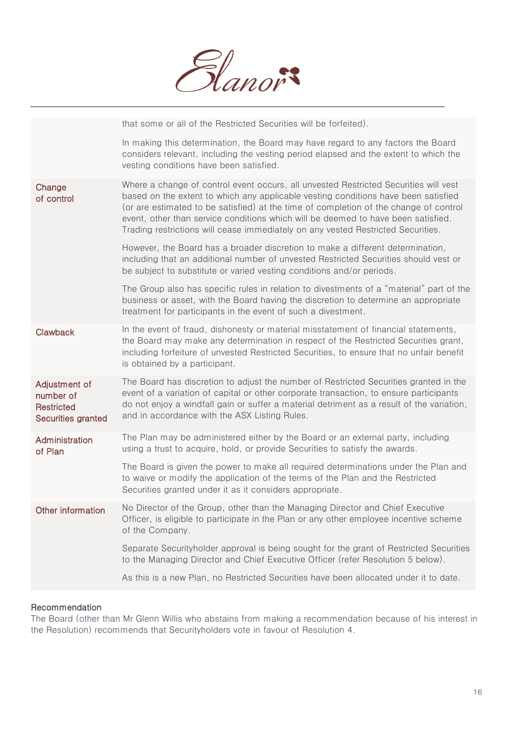

|                                                                | that some or all of the Restricted Securities will be forfeited).                                                                                                                                                                                                                                                                                                                                                                            |
|----------------------------------------------------------------|----------------------------------------------------------------------------------------------------------------------------------------------------------------------------------------------------------------------------------------------------------------------------------------------------------------------------------------------------------------------------------------------------------------------------------------------|
|                                                                | In making this determination, the Board may have regard to any factors the Board<br>considers relevant, including the vesting period elapsed and the extent to which the<br>vesting conditions have been satisfied.                                                                                                                                                                                                                          |
| Change<br>of control                                           | Where a change of control event occurs, all unvested Restricted Securities will vest<br>based on the extent to which any applicable vesting conditions have been satisfied<br>(or are estimated to be satisfied) at the time of completion of the change of control<br>event, other than service conditions which will be deemed to have been satisfied.<br>Trading restrictions will cease immediately on any vested Restricted Securities. |
|                                                                | However, the Board has a broader discretion to make a different determination,<br>including that an additional number of unvested Restricted Securities should vest or<br>be subject to substitute or varied vesting conditions and/or periods.                                                                                                                                                                                              |
|                                                                | The Group also has specific rules in relation to divestments of a "material" part of the<br>business or asset, with the Board having the discretion to determine an appropriate<br>treatment for participants in the event of such a divestment.                                                                                                                                                                                             |
| Clawback                                                       | In the event of fraud, dishonesty or material misstatement of financial statements,<br>the Board may make any determination in respect of the Restricted Securities grant,<br>including forfeiture of unvested Restricted Securities, to ensure that no unfair benefit<br>is obtained by a participant.                                                                                                                                      |
| Adjustment of<br>number of<br>Restricted<br>Securities granted | The Board has discretion to adjust the number of Restricted Securities granted in the<br>event of a variation of capital or other corporate transaction, to ensure participants<br>do not enjoy a windfall gain or suffer a material detriment as a result of the variation,<br>and in accordance with the ASX Listing Rules.                                                                                                                |
| Administration<br>of Plan                                      | The Plan may be administered either by the Board or an external party, including<br>using a trust to acquire, hold, or provide Securities to satisfy the awards.                                                                                                                                                                                                                                                                             |
|                                                                | The Board is given the power to make all required determinations under the Plan and<br>to waive or modify the application of the terms of the Plan and the Restricted<br>Securities granted under it as it considers appropriate.                                                                                                                                                                                                            |
| Other information                                              | No Director of the Group, other than the Managing Director and Chief Executive<br>Officer, is eligible to participate in the Plan or any other employee incentive scheme<br>of the Company.                                                                                                                                                                                                                                                  |
|                                                                | Separate Securityholder approval is being sought for the grant of Restricted Securities<br>to the Managing Director and Chief Executive Officer (refer Resolution 5 below).                                                                                                                                                                                                                                                                  |
|                                                                | As this is a new Plan, no Restricted Securities have been allocated under it to date.                                                                                                                                                                                                                                                                                                                                                        |

#### Recommendation

The Board (other than Mr Glenn Willis who abstains from making a recommendation because of his interest in the Resolution) recommends that Securityholders vote in favour of Resolution 4.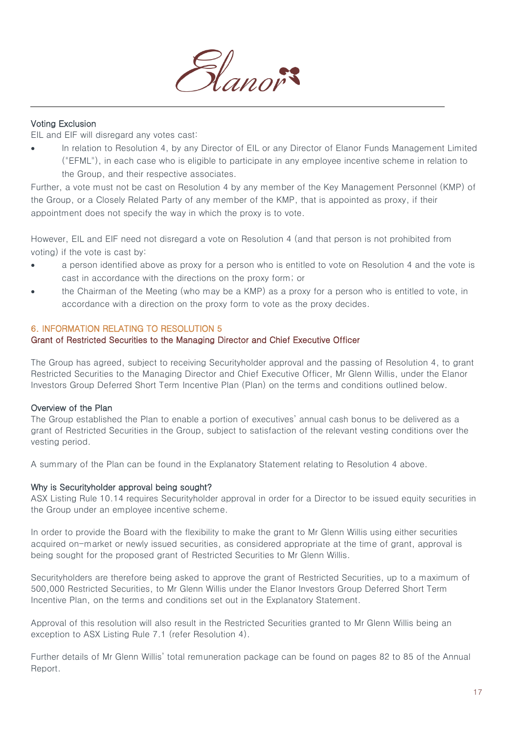

#### Voting Exclusion

EIL and EIF will disregard any votes cast:

In relation to Resolution 4, by any Director of EIL or any Director of Elanor Funds Management Limited ("EFML"), in each case who is eligible to participate in any employee incentive scheme in relation to the Group, and their respective associates.

Further, a vote must not be cast on Resolution 4 by any member of the Key Management Personnel (KMP) of the Group, or a Closely Related Party of any member of the KMP, that is appointed as proxy, if their appointment does not specify the way in which the proxy is to vote.

However, EIL and EIF need not disregard a vote on Resolution 4 (and that person is not prohibited from voting) if the vote is cast by:

- a person identified above as proxy for a person who is entitled to vote on Resolution 4 and the vote is cast in accordance with the directions on the proxy form; or
- the Chairman of the Meeting (who may be a KMP) as a proxy for a person who is entitled to vote, in accordance with a direction on the proxy form to vote as the proxy decides.

#### 6. INFORMATION RELATING TO RESOLUTION 5

#### Grant of Restricted Securities to the Managing Director and Chief Executive Officer

The Group has agreed, subject to receiving Securityholder approval and the passing of Resolution 4, to grant Restricted Securities to the Managing Director and Chief Executive Officer, Mr Glenn Willis, under the Elanor Investors Group Deferred Short Term Incentive Plan (Plan) on the terms and conditions outlined below.

#### Overview of the Plan

The Group established the Plan to enable a portion of executives' annual cash bonus to be delivered as a grant of Restricted Securities in the Group, subject to satisfaction of the relevant vesting conditions over the vesting period.

A summary of the Plan can be found in the Explanatory Statement relating to Resolution 4 above.

#### Why is Securityholder approval being sought?

ASX Listing Rule 10.14 requires Securityholder approval in order for a Director to be issued equity securities in the Group under an employee incentive scheme.

In order to provide the Board with the flexibility to make the grant to Mr Glenn Willis using either securities acquired on-market or newly issued securities, as considered appropriate at the time of grant, approval is being sought for the proposed grant of Restricted Securities to Mr Glenn Willis.

Securityholders are therefore being asked to approve the grant of Restricted Securities, up to a maximum of 500,000 Restricted Securities, to Mr Glenn Willis under the Elanor Investors Group Deferred Short Term Incentive Plan, on the terms and conditions set out in the Explanatory Statement.

Approval of this resolution will also result in the Restricted Securities granted to Mr Glenn Willis being an exception to ASX Listing Rule 7.1 (refer Resolution 4).

Further details of Mr Glenn Willis' total remuneration package can be found on pages 82 to 85 of the Annual Report.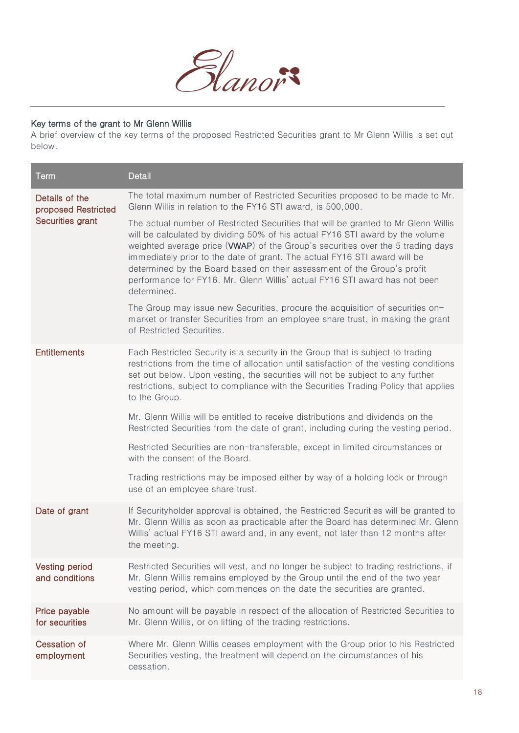

#### Key terms of the grant to Mr Glenn Willis

A brief overview of the key terms of the proposed Restricted Securities grant to Mr Glenn Willis is set out below.

| Term                                    | <b>Detail</b>                                                                                                                                                                                                                                                                                                                                                                                                                                                                                                        |
|-----------------------------------------|----------------------------------------------------------------------------------------------------------------------------------------------------------------------------------------------------------------------------------------------------------------------------------------------------------------------------------------------------------------------------------------------------------------------------------------------------------------------------------------------------------------------|
| Details of the<br>proposed Restricted   | The total maximum number of Restricted Securities proposed to be made to Mr.<br>Glenn Willis in relation to the FY16 STI award, is 500,000.                                                                                                                                                                                                                                                                                                                                                                          |
| Securities grant                        | The actual number of Restricted Securities that will be granted to Mr Glenn Willis<br>will be calculated by dividing 50% of his actual FY16 STI award by the volume<br>weighted average price ( <b>WWAP</b> ) of the Group's securities over the 5 trading days<br>immediately prior to the date of grant. The actual FY16 STI award will be<br>determined by the Board based on their assessment of the Group's profit<br>performance for FY16. Mr. Glenn Willis' actual FY16 STI award has not been<br>determined. |
|                                         | The Group may issue new Securities, procure the acquisition of securities on-<br>market or transfer Securities from an employee share trust, in making the grant<br>of Restricted Securities.                                                                                                                                                                                                                                                                                                                        |
| <b>Entitlements</b>                     | Each Restricted Security is a security in the Group that is subject to trading<br>restrictions from the time of allocation until satisfaction of the vesting conditions<br>set out below. Upon vesting, the securities will not be subject to any further<br>restrictions, subject to compliance with the Securities Trading Policy that applies<br>to the Group.                                                                                                                                                    |
|                                         | Mr. Glenn Willis will be entitled to receive distributions and dividends on the<br>Restricted Securities from the date of grant, including during the vesting period.                                                                                                                                                                                                                                                                                                                                                |
|                                         | Restricted Securities are non-transferable, except in limited circumstances or<br>with the consent of the Board.                                                                                                                                                                                                                                                                                                                                                                                                     |
|                                         | Trading restrictions may be imposed either by way of a holding lock or through<br>use of an employee share trust.                                                                                                                                                                                                                                                                                                                                                                                                    |
| Date of grant                           | If Securityholder approval is obtained, the Restricted Securities will be granted to<br>Mr. Glenn Willis as soon as practicable after the Board has determined Mr. Glenn<br>Willis' actual FY16 STI award and, in any event, not later than 12 months after<br>the meeting.                                                                                                                                                                                                                                          |
| <b>Vesting period</b><br>and conditions | Restricted Securities will vest, and no longer be subject to trading restrictions, if<br>Mr. Glenn Willis remains employed by the Group until the end of the two year<br>vesting period, which commences on the date the securities are granted.                                                                                                                                                                                                                                                                     |
| Price payable<br>for securities         | No amount will be payable in respect of the allocation of Restricted Securities to<br>Mr. Glenn Willis, or on lifting of the trading restrictions.                                                                                                                                                                                                                                                                                                                                                                   |
| <b>Cessation of</b><br>employment       | Where Mr. Glenn Willis ceases employment with the Group prior to his Restricted<br>Securities vesting, the treatment will depend on the circumstances of his<br>cessation.                                                                                                                                                                                                                                                                                                                                           |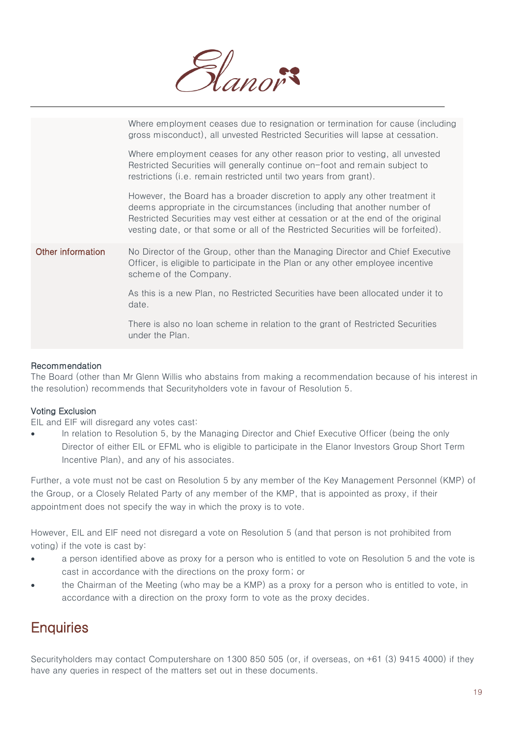

|                   | Where employment ceases due to resignation or termination for cause (including<br>gross misconduct), all unvested Restricted Securities will lapse at cessation.                                                                                                                                                                  |
|-------------------|-----------------------------------------------------------------------------------------------------------------------------------------------------------------------------------------------------------------------------------------------------------------------------------------------------------------------------------|
|                   | Where employment ceases for any other reason prior to vesting, all unvested<br>Restricted Securities will generally continue on-foot and remain subject to<br>restrictions (i.e. remain restricted until two years from grant).                                                                                                   |
|                   | However, the Board has a broader discretion to apply any other treatment it<br>deems appropriate in the circumstances (including that another number of<br>Restricted Securities may vest either at cessation or at the end of the original<br>vesting date, or that some or all of the Restricted Securities will be forfeited). |
| Other information | No Director of the Group, other than the Managing Director and Chief Executive<br>Officer, is eligible to participate in the Plan or any other employee incentive<br>scheme of the Company.                                                                                                                                       |
|                   | As this is a new Plan, no Restricted Securities have been allocated under it to<br>date.                                                                                                                                                                                                                                          |
|                   | There is also no loan scheme in relation to the grant of Restricted Securities<br>under the Plan.                                                                                                                                                                                                                                 |

#### Recommendation

The Board (other than Mr Glenn Willis who abstains from making a recommendation because of his interest in the resolution) recommends that Securityholders vote in favour of Resolution 5.

#### Voting Exclusion

EIL and EIF will disregard any votes cast:

 In relation to Resolution 5, by the Managing Director and Chief Executive Officer (being the only Director of either EIL or EFML who is eligible to participate in the Elanor Investors Group Short Term Incentive Plan), and any of his associates.

Further, a vote must not be cast on Resolution 5 by any member of the Key Management Personnel (KMP) of the Group, or a Closely Related Party of any member of the KMP, that is appointed as proxy, if their appointment does not specify the way in which the proxy is to vote.

However, EIL and EIF need not disregard a vote on Resolution 5 (and that person is not prohibited from voting) if the vote is cast by:

- a person identified above as proxy for a person who is entitled to vote on Resolution 5 and the vote is cast in accordance with the directions on the proxy form; or
- the Chairman of the Meeting (who may be a KMP) as a proxy for a person who is entitled to vote, in accordance with a direction on the proxy form to vote as the proxy decides.

### **Enquiries**

Securityholders may contact Computershare on 1300 850 505 (or, if overseas, on +61 (3) 9415 4000) if they have any queries in respect of the matters set out in these documents.